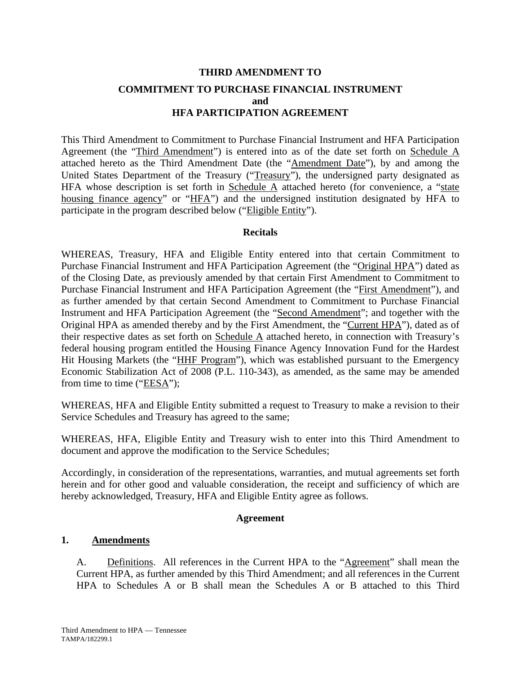# **THIRD AMENDMENT TO COMMITMENT TO PURCHASE FINANCIAL INSTRUMENT and HFA PARTICIPATION AGREEMENT**

This Third Amendment to Commitment to Purchase Financial Instrument and HFA Participation Agreement (the "Third Amendment") is entered into as of the date set forth on Schedule A attached hereto as the Third Amendment Date (the "Amendment Date"), by and among the United States Department of the Treasury ("Treasury"), the undersigned party designated as HFA whose description is set forth in Schedule  $\overline{A}$  attached hereto (for convenience, a "state housing finance agency" or "HFA") and the undersigned institution designated by HFA to participate in the program described below ("Eligible Entity").

### **Recitals**

WHEREAS, Treasury, HFA and Eligible Entity entered into that certain Commitment to Purchase Financial Instrument and HFA Participation Agreement (the "Original HPA") dated as of the Closing Date, as previously amended by that certain First Amendment to Commitment to Purchase Financial Instrument and HFA Participation Agreement (the "First Amendment"), and as further amended by that certain Second Amendment to Commitment to Purchase Financial Instrument and HFA Participation Agreement (the "Second Amendment"; and together with the Original HPA as amended thereby and by the First Amendment, the "Current HPA"), dated as of their respective dates as set forth on Schedule A attached hereto, in connection with Treasury's federal housing program entitled the Housing Finance Agency Innovation Fund for the Hardest Hit Housing Markets (the "HHF Program"), which was established pursuant to the Emergency Economic Stabilization Act of 2008 (P.L. 110-343), as amended, as the same may be amended from time to time ("EESA");

WHEREAS, HFA and Eligible Entity submitted a request to Treasury to make a revision to their Service Schedules and Treasury has agreed to the same;

WHEREAS, HFA, Eligible Entity and Treasury wish to enter into this Third Amendment to document and approve the modification to the Service Schedules;

Accordingly, in consideration of the representations, warranties, and mutual agreements set forth herein and for other good and valuable consideration, the receipt and sufficiency of which are hereby acknowledged, Treasury, HFA and Eligible Entity agree as follows.

### **Agreement**

### **1. Amendments**

A. Definitions. All references in the Current HPA to the "Agreement" shall mean the Current HPA, as further amended by this Third Amendment; and all references in the Current HPA to Schedules A or B shall mean the Schedules A or B attached to this Third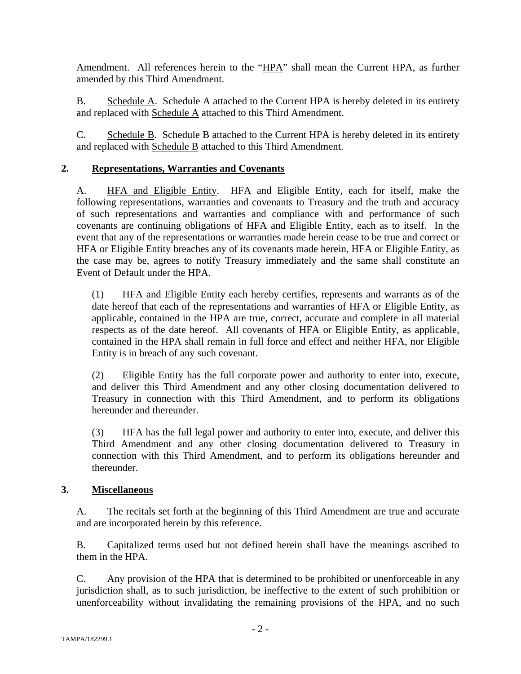Amendment. All references herein to the "HPA" shall mean the Current HPA, as further amended by this Third Amendment.

B. Schedule A. Schedule A attached to the Current HPA is hereby deleted in its entirety and replaced with Schedule A attached to this Third Amendment.

C. Schedule B. Schedule B attached to the Current HPA is hereby deleted in its entirety and replaced with Schedule B attached to this Third Amendment.

## **2. Representations, Warranties and Covenants**

A. HFA and Eligible Entity. HFA and Eligible Entity, each for itself, make the following representations, warranties and covenants to Treasury and the truth and accuracy of such representations and warranties and compliance with and performance of such covenants are continuing obligations of HFA and Eligible Entity, each as to itself. In the event that any of the representations or warranties made herein cease to be true and correct or HFA or Eligible Entity breaches any of its covenants made herein, HFA or Eligible Entity, as the case may be, agrees to notify Treasury immediately and the same shall constitute an Event of Default under the HPA.

(1) HFA and Eligible Entity each hereby certifies, represents and warrants as of the date hereof that each of the representations and warranties of HFA or Eligible Entity, as applicable, contained in the HPA are true, correct, accurate and complete in all material respects as of the date hereof. All covenants of HFA or Eligible Entity, as applicable, contained in the HPA shall remain in full force and effect and neither HFA, nor Eligible Entity is in breach of any such covenant.

(2) Eligible Entity has the full corporate power and authority to enter into, execute, and deliver this Third Amendment and any other closing documentation delivered to Treasury in connection with this Third Amendment, and to perform its obligations hereunder and thereunder.

(3) HFA has the full legal power and authority to enter into, execute, and deliver this Third Amendment and any other closing documentation delivered to Treasury in connection with this Third Amendment, and to perform its obligations hereunder and thereunder.

### **3. Miscellaneous**

A. The recitals set forth at the beginning of this Third Amendment are true and accurate and are incorporated herein by this reference.

B. Capitalized terms used but not defined herein shall have the meanings ascribed to them in the HPA.

C. Any provision of the HPA that is determined to be prohibited or unenforceable in any jurisdiction shall, as to such jurisdiction, be ineffective to the extent of such prohibition or unenforceability without invalidating the remaining provisions of the HPA, and no such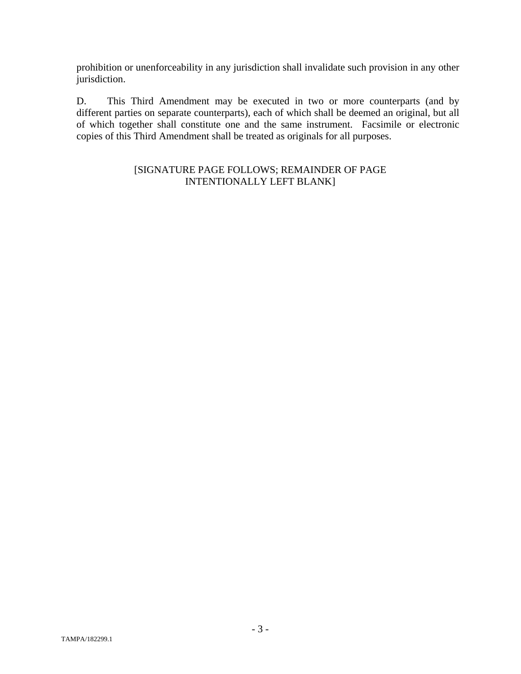prohibition or unenforceability in any jurisdiction shall invalidate such provision in any other jurisdiction.

D. This Third Amendment may be executed in two or more counterparts (and by different parties on separate counterparts), each of which shall be deemed an original, but all of which together shall constitute one and the same instrument. Facsimile or electronic copies of this Third Amendment shall be treated as originals for all purposes.

## [SIGNATURE PAGE FOLLOWS; REMAINDER OF PAGE INTENTIONALLY LEFT BLANK]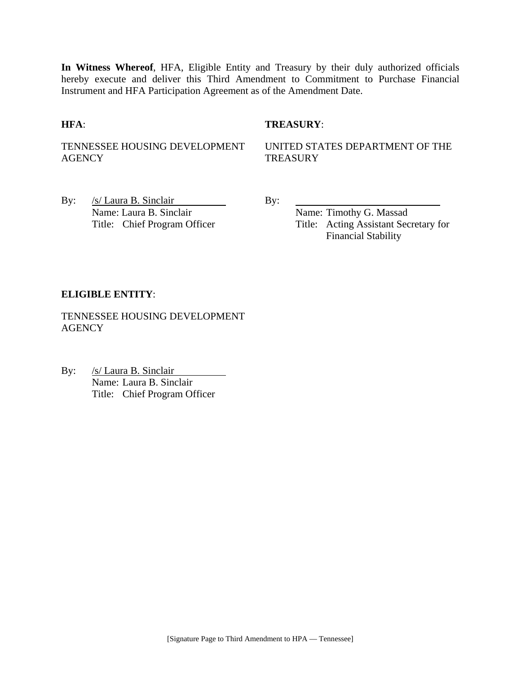**In Witness Whereof**, HFA, Eligible Entity and Treasury by their duly authorized officials hereby execute and deliver this Third Amendment to Commitment to Purchase Financial Instrument and HFA Participation Agreement as of the Amendment Date.

### **HFA**: **TREASURY**:

TENNESSEE HOUSING DEVELOPMENT AGENCY

UNITED STATES DEPARTMENT OF THE **TREASURY** 

By:  $/s/Laura B. Sinclair$  By: Name: Laura B. Sinclair Name: Timothy G. Massad

Title: Chief Program Officer Title: Acting Assistant Secretary for Financial Stability

### **ELIGIBLE ENTITY**:

TENNESSEE HOUSING DEVELOPMENT **AGENCY** 

By: /s/ Laura B. Sinclair Name: Laura B. Sinclair Title: Chief Program Officer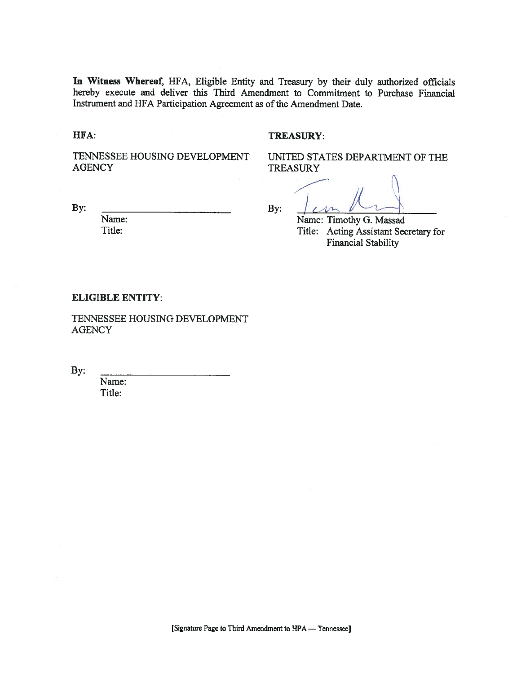In Witness Whereof, HFA, Eligible Entity and Treasury by their duly authorized officials hereby execute and deliver this Third Amendment to Commitment to Purchase Financial Instrument and HFA Participation Agreement as of the Amendment Date.

HFA:

### **TREASURY:**

TENNESSEE HOUSING DEVELOPMENT **AGENCY** 

UNITED STATES DEPARTMENT OF THE **TREASURY** 

By:

Name:

Title:

By:

Name: Timothy G. Massad Title: Acting Assistant Secretary for **Financial Stability** 

#### **ELIGIBLE ENTITY:**

TENNESSEE HOUSING DEVELOPMENT **AGENCY** 

By:

Name: Title: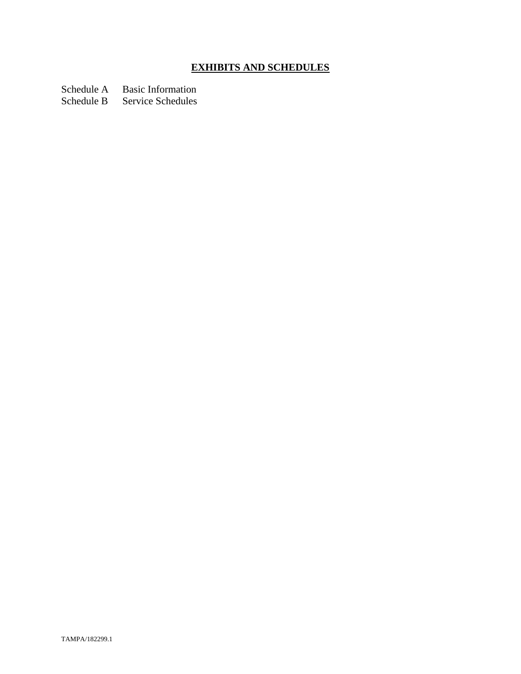# **EXHIBITS AND SCHEDULES**

Schedule A Basic Information

Schedule B Service Schedules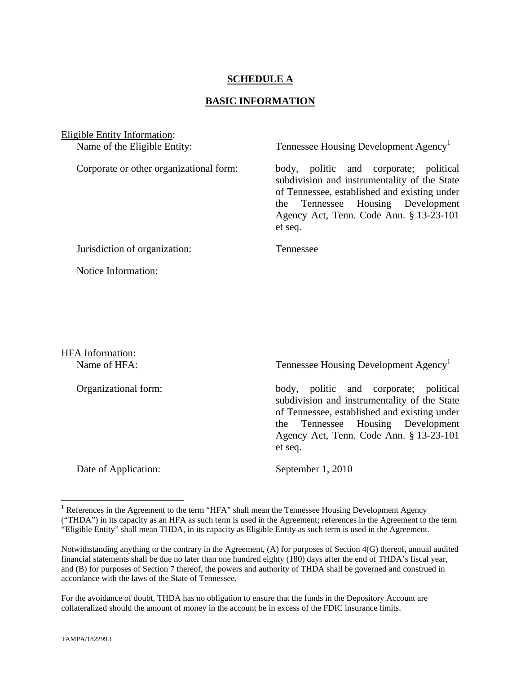### **SCHEDULE A**

### **BASIC INFORMATION**

Eligible Entity Information: Name of the Eligible Entity: Tennessee Housing Development Agency<sup>1</sup> Corporate or other organizational form: body, politic and corporate; political subdivision and instrumentality of the State of Tennessee, established and existing under the Tennessee Housing Development Agency Act, Tenn. Code Ann. § 13-23-101 et seq. Jurisdiction of organization: Tennessee Notice Information:

HFA Information:

Name of HFA: Tennessee Housing Development Agency<sup>1</sup>

Organizational form: body, politic and corporate; political subdivision and instrumentality of the State of Tennessee, established and existing under the Tennessee Housing Development Agency Act, Tenn. Code Ann. § 13-23-101 et seq.

Date of Application: September 1, 2010

For the avoidance of doubt, THDA has no obligation to ensure that the funds in the Depository Account are collateralized should the amount of money in the account be in excess of the FDIC insurance limits.

1

<sup>&</sup>lt;sup>1</sup> References in the Agreement to the term "HFA" shall mean the Tennessee Housing Development Agency ("THDA") in its capacity as an HFA as such term is used in the Agreement; references in the Agreement to the term "Eligible Entity" shall mean THDA, in its capacity as Eligible Entity as such term is used in the Agreement.

Notwithstanding anything to the contrary in the Agreement, (A) for purposes of Section 4(G) thereof, annual audited financial statements shall be due no later than one hundred eighty (180) days after the end of THDA's fiscal year, and (B) for purposes of Section 7 thereof, the powers and authority of THDA shall be governed and construed in accordance with the laws of the State of Tennessee.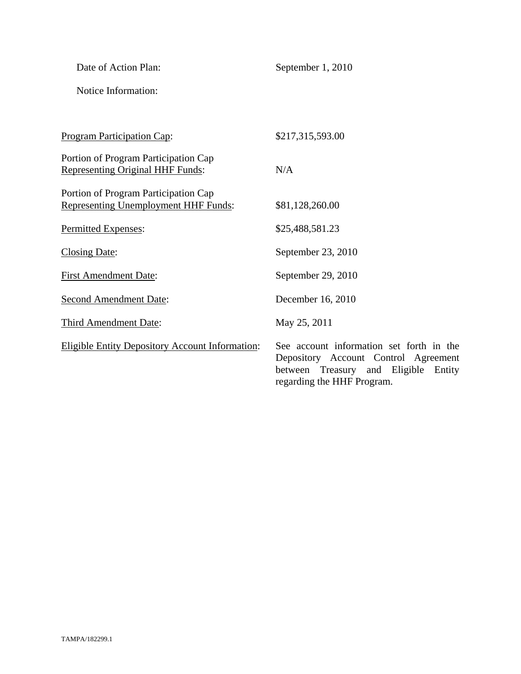| Date of Action Plan:                                                                | September 1, 2010                                                                                                                                         |
|-------------------------------------------------------------------------------------|-----------------------------------------------------------------------------------------------------------------------------------------------------------|
| Notice Information:                                                                 |                                                                                                                                                           |
|                                                                                     |                                                                                                                                                           |
| <b>Program Participation Cap:</b>                                                   | \$217,315,593.00                                                                                                                                          |
| Portion of Program Participation Cap<br><b>Representing Original HHF Funds:</b>     | N/A                                                                                                                                                       |
| Portion of Program Participation Cap<br><b>Representing Unemployment HHF Funds:</b> | \$81,128,260.00                                                                                                                                           |
| Permitted Expenses:                                                                 | \$25,488,581.23                                                                                                                                           |
| <b>Closing Date:</b>                                                                | September 23, 2010                                                                                                                                        |
| <b>First Amendment Date:</b>                                                        | September 29, 2010                                                                                                                                        |
| <b>Second Amendment Date:</b>                                                       | December 16, 2010                                                                                                                                         |
| Third Amendment Date:                                                               | May 25, 2011                                                                                                                                              |
| <b>Eligible Entity Depository Account Information:</b>                              | See account information set forth in the<br>Depository Account Control Agreement<br>between Treasury and Eligible<br>Entity<br>regarding the HHF Program. |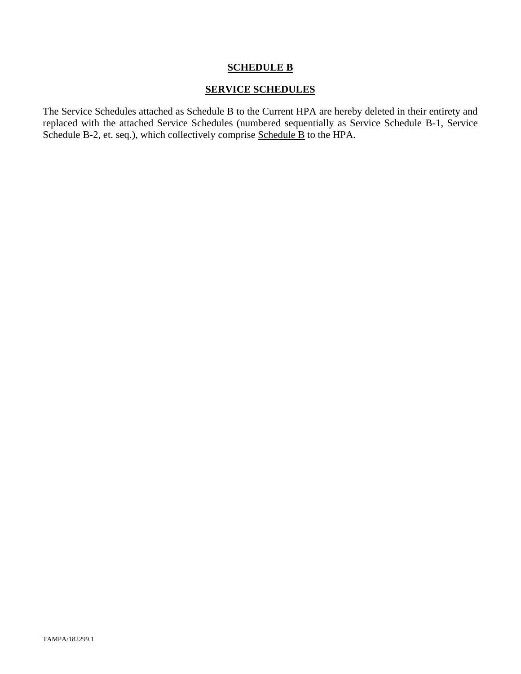### **SCHEDULE B**

### **SERVICE SCHEDULES**

The Service Schedules attached as Schedule B to the Current HPA are hereby deleted in their entirety and replaced with the attached Service Schedules (numbered sequentially as Service Schedule B-1, Service Schedule B-2, et. seq.), which collectively comprise Schedule B to the HPA.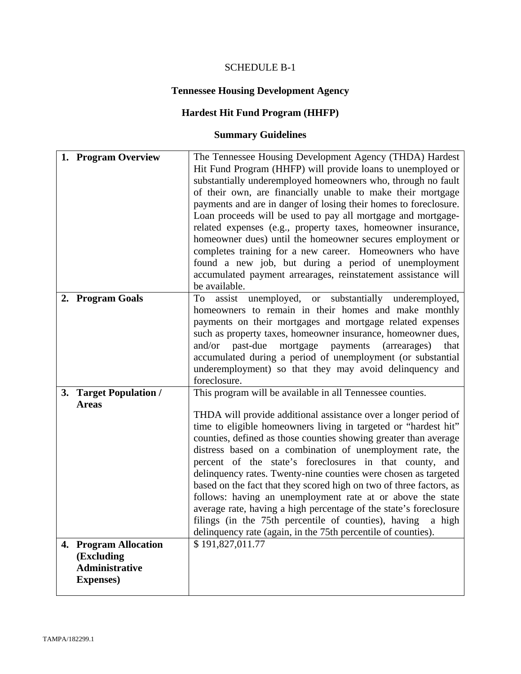# SCHEDULE B-1

# **Tennessee Housing Development Agency**

# **Hardest Hit Fund Program (HHFP)**

# **Summary Guidelines**

| 1. Program Overview                                                               | The Tennessee Housing Development Agency (THDA) Hardest<br>Hit Fund Program (HHFP) will provide loans to unemployed or<br>substantially underemployed homeowners who, through no fault<br>of their own, are financially unable to make their mortgage<br>payments and are in danger of losing their homes to foreclosure.<br>Loan proceeds will be used to pay all mortgage and mortgage-<br>related expenses (e.g., property taxes, homeowner insurance,<br>homeowner dues) until the homeowner secures employment or<br>completes training for a new career. Homeowners who have<br>found a new job, but during a period of unemployment<br>accumulated payment arrearages, reinstatement assistance will<br>be available.                                                                             |
|-----------------------------------------------------------------------------------|----------------------------------------------------------------------------------------------------------------------------------------------------------------------------------------------------------------------------------------------------------------------------------------------------------------------------------------------------------------------------------------------------------------------------------------------------------------------------------------------------------------------------------------------------------------------------------------------------------------------------------------------------------------------------------------------------------------------------------------------------------------------------------------------------------|
| 2. Program Goals                                                                  | assist unemployed, or substantially underemployed,<br>To<br>homeowners to remain in their homes and make monthly<br>payments on their mortgages and mortgage related expenses<br>such as property taxes, homeowner insurance, homeowner dues,<br>past-due<br>mortgage payments<br>and/or<br>(arrearages)<br>that<br>accumulated during a period of unemployment (or substantial<br>underemployment) so that they may avoid delinquency and<br>foreclosure.                                                                                                                                                                                                                                                                                                                                               |
| 3. Target Population /<br><b>Areas</b>                                            | This program will be available in all Tennessee counties.<br>THDA will provide additional assistance over a longer period of<br>time to eligible homeowners living in targeted or "hardest hit"<br>counties, defined as those counties showing greater than average<br>distress based on a combination of unemployment rate, the<br>percent of the state's foreclosures in that county, and<br>delinquency rates. Twenty-nine counties were chosen as targeted<br>based on the fact that they scored high on two of three factors, as<br>follows: having an unemployment rate at or above the state<br>average rate, having a high percentage of the state's foreclosure<br>filings (in the 75th percentile of counties), having a high<br>delinquency rate (again, in the 75th percentile of counties). |
| 4. Program Allocation<br>(Excluding<br><b>Administrative</b><br><b>Expenses</b> ) | \$191,827,011.77                                                                                                                                                                                                                                                                                                                                                                                                                                                                                                                                                                                                                                                                                                                                                                                         |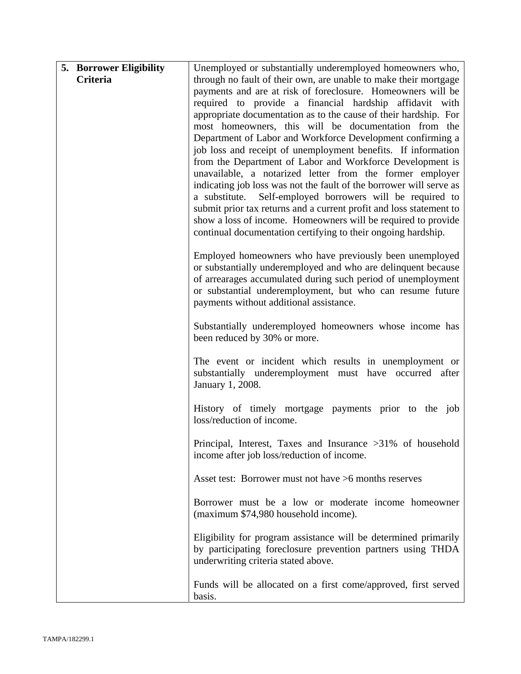| 5. Borrower Eligibility | Unemployed or substantially underemployed homeowners who,           |
|-------------------------|---------------------------------------------------------------------|
| Criteria                | through no fault of their own, are unable to make their mortgage    |
|                         | payments and are at risk of foreclosure. Homeowners will be         |
|                         | required to provide a financial hardship affidavit with             |
|                         | appropriate documentation as to the cause of their hardship. For    |
|                         | most homeowners, this will be documentation from the                |
|                         | Department of Labor and Workforce Development confirming a          |
|                         | job loss and receipt of unemployment benefits. If information       |
|                         | from the Department of Labor and Workforce Development is           |
|                         | unavailable, a notarized letter from the former employer            |
|                         | indicating job loss was not the fault of the borrower will serve as |
|                         | a substitute. Self-employed borrowers will be required to           |
|                         | submit prior tax returns and a current profit and loss statement to |
|                         | show a loss of income. Homeowners will be required to provide       |
|                         | continual documentation certifying to their ongoing hardship.       |
|                         | Employed homeowners who have previously been unemployed             |
|                         | or substantially underemployed and who are delinquent because       |
|                         | of arrearages accumulated during such period of unemployment        |
|                         | or substantial underemployment, but who can resume future           |
|                         | payments without additional assistance.                             |
|                         |                                                                     |
|                         | Substantially underemployed homeowners whose income has             |
|                         | been reduced by 30% or more.                                        |
|                         |                                                                     |
|                         | The event or incident which results in unemployment or              |
|                         | substantially underemployment must have occurred after              |
|                         | January 1, 2008.                                                    |
|                         | History of timely mortgage payments prior to the job                |
|                         | loss/reduction of income.                                           |
|                         |                                                                     |
|                         | Principal, Interest, Taxes and Insurance $>31\%$ of household       |
|                         | income after job loss/reduction of income.                          |
|                         |                                                                     |
|                         | Asset test: Borrower must not have >6 months reserves               |
|                         |                                                                     |
|                         | Borrower must be a low or moderate income homeowner                 |
|                         | (maximum \$74,980 household income).                                |
|                         | Eligibility for program assistance will be determined primarily     |
|                         | by participating foreclosure prevention partners using THDA         |
|                         | underwriting criteria stated above.                                 |
|                         |                                                                     |
|                         | Funds will be allocated on a first come/approved, first served      |
|                         | basis.                                                              |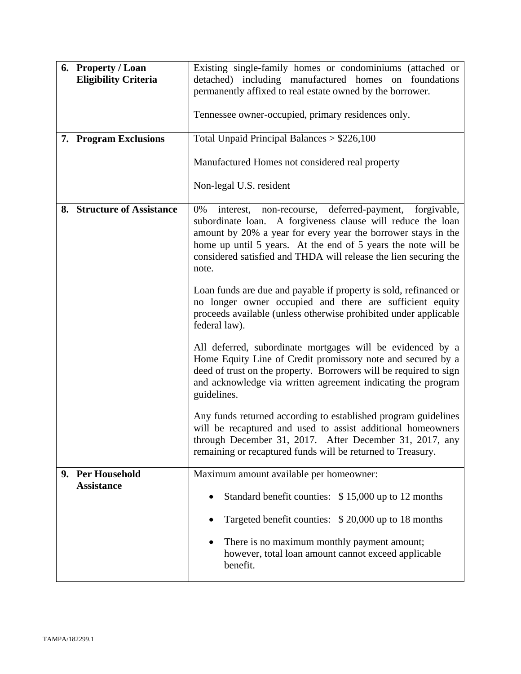| 6. Property / Loan<br><b>Eligibility Criteria</b> | Existing single-family homes or condominiums (attached or<br>detached) including manufactured homes on foundations<br>permanently affixed to real estate owned by the borrower.<br>Tennessee owner-occupied, primary residences only.                                                                                                        |
|---------------------------------------------------|----------------------------------------------------------------------------------------------------------------------------------------------------------------------------------------------------------------------------------------------------------------------------------------------------------------------------------------------|
| 7. Program Exclusions                             | Total Unpaid Principal Balances $> $226,100$                                                                                                                                                                                                                                                                                                 |
|                                                   | Manufactured Homes not considered real property                                                                                                                                                                                                                                                                                              |
|                                                   | Non-legal U.S. resident                                                                                                                                                                                                                                                                                                                      |
| 8. Structure of Assistance                        | interest, non-recourse, deferred-payment,<br>forgivable,<br>0%<br>subordinate loan. A forgiveness clause will reduce the loan<br>amount by 20% a year for every year the borrower stays in the<br>home up until 5 years. At the end of 5 years the note will be<br>considered satisfied and THDA will release the lien securing the<br>note. |
|                                                   | Loan funds are due and payable if property is sold, refinanced or<br>no longer owner occupied and there are sufficient equity<br>proceeds available (unless otherwise prohibited under applicable<br>federal law).                                                                                                                           |
|                                                   | All deferred, subordinate mortgages will be evidenced by a<br>Home Equity Line of Credit promissory note and secured by a<br>deed of trust on the property. Borrowers will be required to sign<br>and acknowledge via written agreement indicating the program<br>guidelines.                                                                |
|                                                   | Any funds returned according to established program guidelines<br>will be recaptured and used to assist additional homeowners<br>through December 31, 2017. After December 31, 2017, any<br>remaining or recaptured funds will be returned to Treasury.                                                                                      |
| 9. Per Household<br><b>Assistance</b>             | Maximum amount available per homeowner:                                                                                                                                                                                                                                                                                                      |
|                                                   | Standard benefit counties: \$15,000 up to 12 months                                                                                                                                                                                                                                                                                          |
|                                                   | Targeted benefit counties: \$20,000 up to 18 months                                                                                                                                                                                                                                                                                          |
|                                                   | There is no maximum monthly payment amount;<br>$\bullet$<br>however, total loan amount cannot exceed applicable<br>benefit.                                                                                                                                                                                                                  |